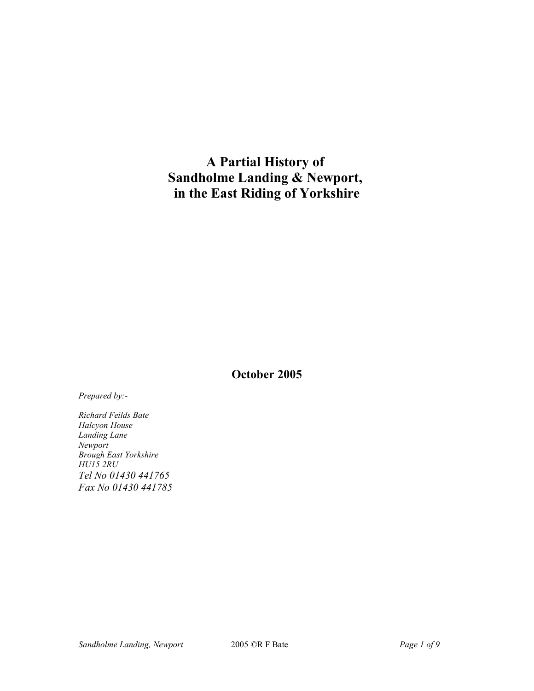# **A Partial History of Sandholme Landing & Newport, in the East Riding of Yorkshire**

**October 2005**

*Prepared by:-*

*Richard Feilds Bate Halcyon House Landing Lane Newport Brough East Yorkshire HU15 2RU Tel No 01430 441765 Fax No 01430 441785*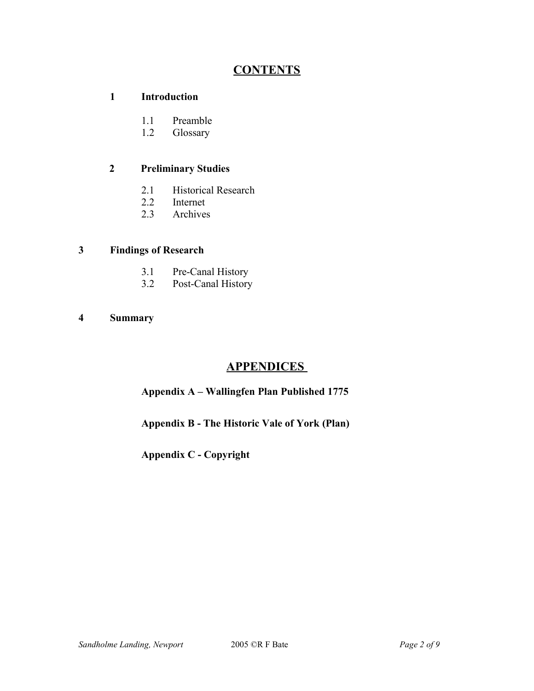# **CONTENTS**

#### **1 Introduction**

- 1.1 Preamble
- 1.2 Glossary

#### **2 Preliminary Studies**

- 2.1 Historical Research<br>2.2 Internet
- Internet
- 2.3 Archives

#### **3 Findings of Research**

- 3.1 Pre-Canal History
- 3.2 Post-Canal History
- **4 Summary**

# **APPENDICES**

# **Appendix A – Wallingfen Plan Published 1775**

**Appendix B - The Historic Vale of York (Plan)**

**Appendix C - Copyright**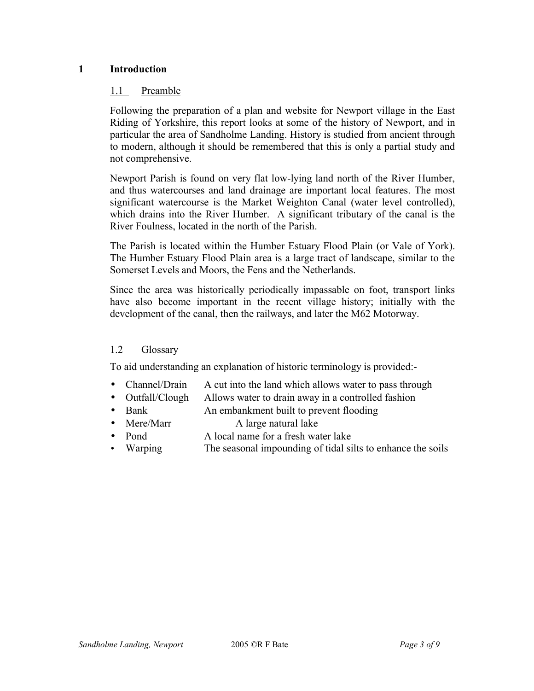#### **1 Introduction**

#### 1.1 Preamble

Following the preparation of a plan and website for Newport village in the East Riding of Yorkshire, this report looks at some of the history of Newport, and in particular the area of Sandholme Landing. History is studied from ancient through to modern, although it should be remembered that this is only a partial study and not comprehensive.

Newport Parish is found on very flat low-lying land north of the River Humber, and thus watercourses and land drainage are important local features. The most significant watercourse is the Market Weighton Canal (water level controlled), which drains into the River Humber. A significant tributary of the canal is the River Foulness, located in the north of the Parish.

The Parish is located within the Humber Estuary Flood Plain (or Vale of York). The Humber Estuary Flood Plain area is a large tract of landscape, similar to the Somerset Levels and Moors, the Fens and the Netherlands.

Since the area was historically periodically impassable on foot, transport links have also become important in the recent village history; initially with the development of the canal, then the railways, and later the M62 Motorway.

## 1.2 Glossary

To aid understanding an explanation of historic terminology is provided:-

- Channel/Drain A cut into the land which allows water to pass through
- Outfall/Clough Allows water to drain away in a controlled fashion
- Bank An embankment built to prevent flooding
- Mere/Marr A large natural lake
- Pond A local name for a fresh water lake
- Warping The seasonal impounding of tidal silts to enhance the soils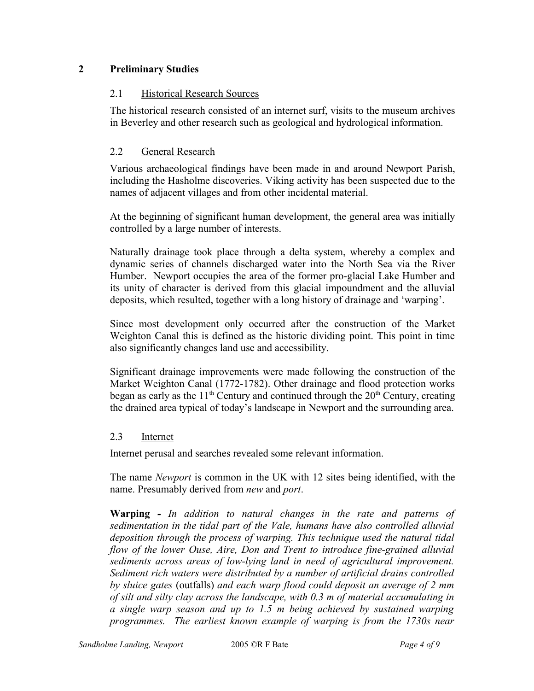# **2 Preliminary Studies**

#### 2.1 Historical Research Sources

The historical research consisted of an internet surf, visits to the museum archives in Beverley and other research such as geological and hydrological information.

#### 2.2 General Research

Various archaeological findings have been made in and around Newport Parish, including the Hasholme discoveries. Viking activity has been suspected due to the names of adjacent villages and from other incidental material.

At the beginning of significant human development, the general area was initially controlled by a large number of interests.

Naturally drainage took place through a delta system, whereby a complex and dynamic series of channels discharged water into the North Sea via the River Humber. Newport occupies the area of the former pro-glacial Lake Humber and its unity of character is derived from this glacial impoundment and the alluvial deposits, which resulted, together with a long history of drainage and 'warping'.

Since most development only occurred after the construction of the Market Weighton Canal this is defined as the historic dividing point. This point in time also significantly changes land use and accessibility.

Significant drainage improvements were made following the construction of the Market Weighton Canal (1772-1782). Other drainage and flood protection works began as early as the  $11<sup>th</sup>$  Century and continued through the  $20<sup>th</sup>$  Century, creating the drained area typical of today's landscape in Newport and the surrounding area.

#### 2.3 Internet

Internet perusal and searches revealed some relevant information.

The name *Newport* is common in the UK with 12 sites being identified, with the name. Presumably derived from *new* and *port*.

**Warping** *- In addition to natural changes in the rate and patterns of sedimentation in the tidal part of the Vale, humans have also controlled alluvial deposition through the process of warping. This technique used the natural tidal flow of the lower Ouse, Aire, Don and Trent to introduce fine-grained alluvial sediments across areas of low-lying land in need of agricultural improvement. Sediment rich waters were distributed by a number of artificial drains controlled by sluice gates* (outfalls) *and each warp flood could deposit an average of 2 mm of silt and silty clay across the landscape, with 0.3 m of material accumulating in a single warp season and up to 1.5 m being achieved by sustained warping programmes. The earliest known example of warping is from the 1730s near*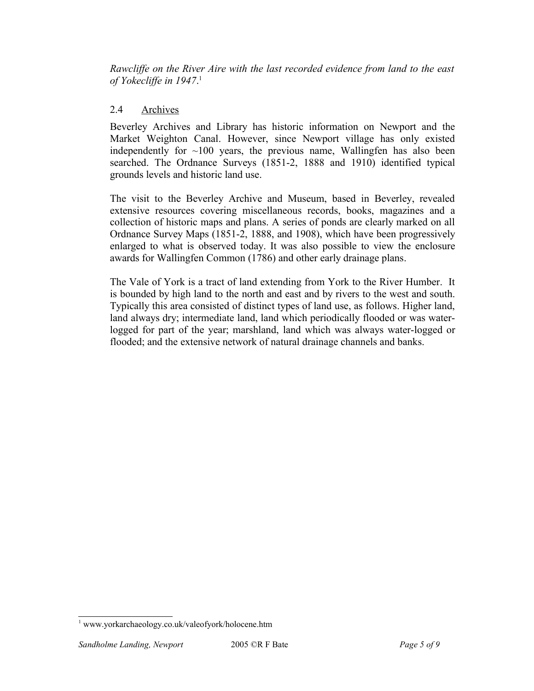*Rawcliffe on the River Aire with the last recorded evidence from land to the east of Yokecliffe in 1947*. 1

#### 2.4 Archives

Beverley Archives and Library has historic information on Newport and the Market Weighton Canal. However, since Newport village has only existed independently for  $\sim 100$  years, the previous name, Wallingfen has also been searched. The Ordnance Surveys (1851-2, 1888 and 1910) identified typical grounds levels and historic land use.

The visit to the Beverley Archive and Museum, based in Beverley, revealed extensive resources covering miscellaneous records, books, magazines and a collection of historic maps and plans. A series of ponds are clearly marked on all Ordnance Survey Maps (1851-2, 1888, and 1908), which have been progressively enlarged to what is observed today. It was also possible to view the enclosure awards for Wallingfen Common (1786) and other early drainage plans.

The Vale of York is a tract of land extending from York to the River Humber. It is bounded by high land to the north and east and by rivers to the west and south. Typically this area consisted of distinct types of land use, as follows. Higher land, land always dry; intermediate land, land which periodically flooded or was waterlogged for part of the year; marshland, land which was always water-logged or flooded; and the extensive network of natural drainage channels and banks.

<sup>1</sup> www.yorkarchaeology.co.uk/valeofyork/holocene.htm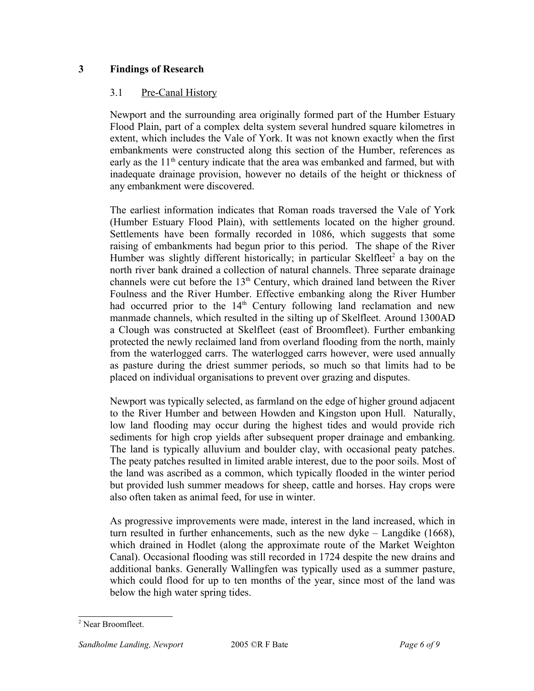## **3 Findings of Research**

#### 3.1 Pre-Canal History

Newport and the surrounding area originally formed part of the Humber Estuary Flood Plain, part of a complex delta system several hundred square kilometres in extent, which includes the Vale of York. It was not known exactly when the first embankments were constructed along this section of the Humber, references as early as the  $11<sup>th</sup>$  century indicate that the area was embanked and farmed, but with inadequate drainage provision, however no details of the height or thickness of any embankment were discovered.

The earliest information indicates that Roman roads traversed the Vale of York (Humber Estuary Flood Plain), with settlements located on the higher ground. Settlements have been formally recorded in 1086, which suggests that some raising of embankments had begun prior to this period. The shape of the River Humber was slightly different historically; in particular Skelfleet<sup>2</sup> a bay on the north river bank drained a collection of natural channels. Three separate drainage channels were cut before the  $13<sup>th</sup>$  Century, which drained land between the River Foulness and the River Humber. Effective embanking along the River Humber had occurred prior to the  $14<sup>th</sup>$  Century following land reclamation and new manmade channels, which resulted in the silting up of Skelfleet. Around 1300AD a Clough was constructed at Skelfleet (east of Broomfleet). Further embanking protected the newly reclaimed land from overland flooding from the north, mainly from the waterlogged carrs. The waterlogged carrs however, were used annually as pasture during the driest summer periods, so much so that limits had to be placed on individual organisations to prevent over grazing and disputes.

Newport was typically selected, as farmland on the edge of higher ground adjacent to the River Humber and between Howden and Kingston upon Hull. Naturally, low land flooding may occur during the highest tides and would provide rich sediments for high crop yields after subsequent proper drainage and embanking. The land is typically alluvium and boulder clay, with occasional peaty patches. The peaty patches resulted in limited arable interest, due to the poor soils. Most of the land was ascribed as a common, which typically flooded in the winter period but provided lush summer meadows for sheep, cattle and horses. Hay crops were also often taken as animal feed, for use in winter.

As progressive improvements were made, interest in the land increased, which in turn resulted in further enhancements, such as the new dyke – Langdike (1668), which drained in Hodlet (along the approximate route of the Market Weighton Canal). Occasional flooding was still recorded in 1724 despite the new drains and additional banks. Generally Wallingfen was typically used as a summer pasture, which could flood for up to ten months of the year, since most of the land was below the high water spring tides.

<sup>2</sup> Near Broomfleet.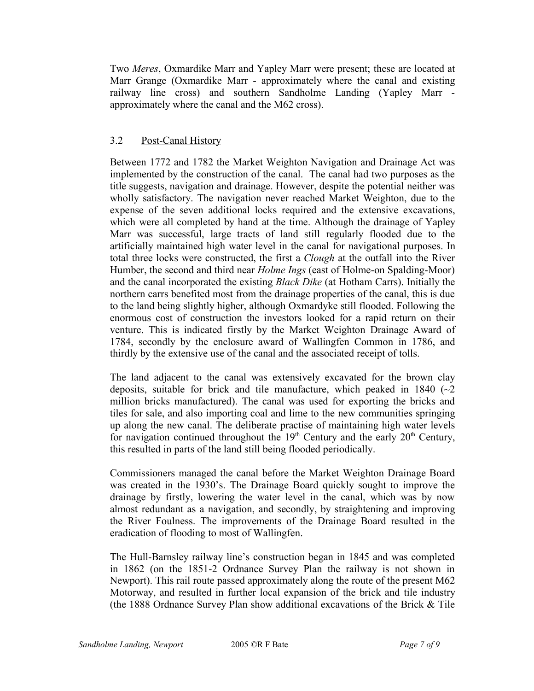Two *Meres*, Oxmardike Marr and Yapley Marr were present; these are located at Marr Grange (Oxmardike Marr - approximately where the canal and existing railway line cross) and southern Sandholme Landing (Yapley Marr approximately where the canal and the M62 cross).

## 3.2 Post-Canal History

Between 1772 and 1782 the Market Weighton Navigation and Drainage Act was implemented by the construction of the canal. The canal had two purposes as the title suggests, navigation and drainage. However, despite the potential neither was wholly satisfactory. The navigation never reached Market Weighton, due to the expense of the seven additional locks required and the extensive excavations, which were all completed by hand at the time. Although the drainage of Yapley Marr was successful, large tracts of land still regularly flooded due to the artificially maintained high water level in the canal for navigational purposes. In total three locks were constructed, the first a *Clough* at the outfall into the River Humber, the second and third near *Holme Ings* (east of Holme-on Spalding-Moor) and the canal incorporated the existing *Black Dike* (at Hotham Carrs). Initially the northern carrs benefited most from the drainage properties of the canal, this is due to the land being slightly higher, although Oxmardyke still flooded. Following the enormous cost of construction the investors looked for a rapid return on their venture. This is indicated firstly by the Market Weighton Drainage Award of 1784, secondly by the enclosure award of Wallingfen Common in 1786, and thirdly by the extensive use of the canal and the associated receipt of tolls.

The land adjacent to the canal was extensively excavated for the brown clay deposits, suitable for brick and tile manufacture, which peaked in 1840 ( $\sim$ 2) million bricks manufactured). The canal was used for exporting the bricks and tiles for sale, and also importing coal and lime to the new communities springing up along the new canal. The deliberate practise of maintaining high water levels for navigation continued throughout the  $19<sup>th</sup>$  Century and the early  $20<sup>th</sup>$  Century, this resulted in parts of the land still being flooded periodically.

Commissioners managed the canal before the Market Weighton Drainage Board was created in the 1930's. The Drainage Board quickly sought to improve the drainage by firstly, lowering the water level in the canal, which was by now almost redundant as a navigation, and secondly, by straightening and improving the River Foulness. The improvements of the Drainage Board resulted in the eradication of flooding to most of Wallingfen.

The Hull-Barnsley railway line's construction began in 1845 and was completed in 1862 (on the 1851-2 Ordnance Survey Plan the railway is not shown in Newport). This rail route passed approximately along the route of the present M62 Motorway, and resulted in further local expansion of the brick and tile industry (the 1888 Ordnance Survey Plan show additional excavations of the Brick & Tile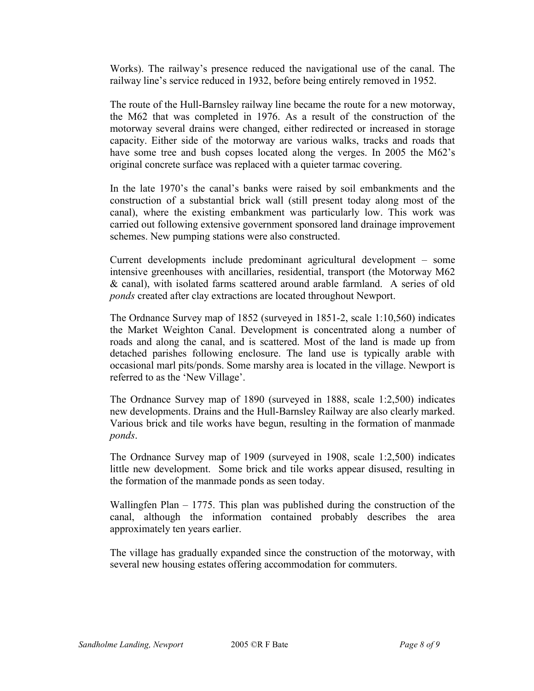Works). The railway's presence reduced the navigational use of the canal. The railway line's service reduced in 1932, before being entirely removed in 1952.

The route of the Hull-Barnsley railway line became the route for a new motorway, the M62 that was completed in 1976. As a result of the construction of the motorway several drains were changed, either redirected or increased in storage capacity. Either side of the motorway are various walks, tracks and roads that have some tree and bush copses located along the verges. In 2005 the M62's original concrete surface was replaced with a quieter tarmac covering.

In the late 1970's the canal's banks were raised by soil embankments and the construction of a substantial brick wall (still present today along most of the canal), where the existing embankment was particularly low. This work was carried out following extensive government sponsored land drainage improvement schemes. New pumping stations were also constructed.

Current developments include predominant agricultural development – some intensive greenhouses with ancillaries, residential, transport (the Motorway M62 & canal), with isolated farms scattered around arable farmland. A series of old *ponds* created after clay extractions are located throughout Newport.

The Ordnance Survey map of 1852 (surveyed in 1851-2, scale 1:10,560) indicates the Market Weighton Canal. Development is concentrated along a number of roads and along the canal, and is scattered. Most of the land is made up from detached parishes following enclosure. The land use is typically arable with occasional marl pits/ponds. Some marshy area is located in the village. Newport is referred to as the 'New Village'.

The Ordnance Survey map of 1890 (surveyed in 1888, scale 1:2,500) indicates new developments. Drains and the Hull-Barnsley Railway are also clearly marked. Various brick and tile works have begun, resulting in the formation of manmade *ponds*.

The Ordnance Survey map of 1909 (surveyed in 1908, scale 1:2,500) indicates little new development. Some brick and tile works appear disused, resulting in the formation of the manmade ponds as seen today.

Wallingfen Plan – 1775. This plan was published during the construction of the canal, although the information contained probably describes the area approximately ten years earlier.

The village has gradually expanded since the construction of the motorway, with several new housing estates offering accommodation for commuters.